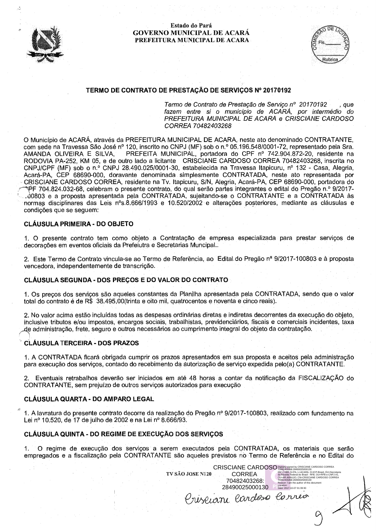



# TERMO DE CONTRATO DE PRESTAÇÃO DE SERVIÇOS Nº 20170192

Termo de Contrato de Prestação de Servico nº 20170192 . aue fazem entre si o município de ACARA, por intermédio do PREFEITURA MUNICIPAL DE ACARA e CRISCIANE CARDOSO CORREA 70482403268

O Município de ACARÁ, através da PREFEITURA MUNICIPAL DE ACARA, neste ato denominado CONTRATANTE, com sede na Travessa São José nº 120, inscrito no CNPJ (MF) sob o n.º 05.196.548/0001-72, representado pela Sra. PREFEITA MUNICIPAL, portadora do CPF nº 742.904.872-20, residente na AMANDA OLIVEIRA E SILVA, RODOVIA PA-252, KM 05, e de outro lado a licitante CRISCIANE CARDOSO CORREA 70482403268, inscrita no CNPJ/CPF (MF) sob o n.º CNPJ 28.490.025/0001-30, estabelecida na Travessa Itapicuru, nº 132 - Casa, Alegria, Acará-PA, CEP 68690-000, doravante denominada simplesmente CONTRATADA, neste ato representada por CRISCIANE CARDOSO CORREA, residente na Tv. Itapicuru, S/N, Alegria, Acará-PA, CEP 68690-000, portadora do PF 704.824.032-68, celebram o presente contrato, do qual serão partes integrantes o edital do Pregão n.º 9/2017-.00803 e a proposta apresentada pela CONTRATADA, sujeitando-se o CONTRATANTE e a CONTRATADA às normas disciplinares das Leis nºs.8.666/1993 e 10.520/2002 e alterações posteriores, mediante as cláusulas e condições que se sequem:

## **CLÁUSULA PRIMEIRA - DO OBJETO**

1. O presente contrato tem como objeto a Contratação de empresa especializada para prestar serviços de decorações em eventos oficiais da Prefeiutra e Secretarias Muncipal..

2. Este Termo de Contrato vincula-se ao Termo de Referência, ao Edital do Pregão nª 9/2017-100803 e à proposta vencedora, independentemente de transcrição.

#### CLÁUSULA SEGUNDA - DOS PRECOS E DO VALOR DO CONTRATO

1. Os precos dos servicos são aqueles constantes da Planilha apresentada pela CONTRATADA, sendo que o valor total do contrato é de R\$ 38.495,00(trinta e oito mil, quatrocentos e noventa e cinco reais).

2. No valor acima estão incluídas todas as despesas ordinárias diretas e indiretas decorrentes da execução do obieto. inclusive tributos e/ou impostos, encargos sociais, trabalhistas, previdenciários, fiscais e comerciais incidentes, taxa de administração, frete, seguro e outros necessários ao cumprimento integral do objeto da contratação.

#### **CLÁUSULA TERCEIRA - DOS PRAZOS**

1. A CONTRATADA ficará obrigada cumprir os prazos apresentados em sua proposta e aceitos pela administração para execução dos serviços, contado do recebimento da autorização de serviço expedida pelo(a) CONTRATANTE.

2. Eventuais retrabalhos deverão ser iniciados em até 48 horas a contar da notificação da FISCALIZAÇÃO do CONTRATANTE, sem prejuízo de outros serviços autorizados para execução

# CLÁUSULA QUARTA - DO AMPARO LEGAL

1. A lavratura do presente contrato decorre da realização do Pregão nº 9/2017-100803, realizado com fundamento na Lei nº 10.520, de 17 de julho de 2002 e na Lei nº 8.666/93.

#### CLÁUSULA QUINTA - DO REGIME DE EXECUÇÃO DOS SERVIÇOS

O regime de execução dos serviços a serem executados pela CONTRATADA, os materiais que serão  $\mathbf 1$ empregados e a fiscalização pela CONTRATANTE são aqueles previstos no Termo de Referência e no Edital do

**CRISCIANE CARDOSO** TV SÃO JOSE N120 **CORREA** 70482403268: 28490025000130 Date: 2017-10-07 01:39:30 riseiane cardoso correio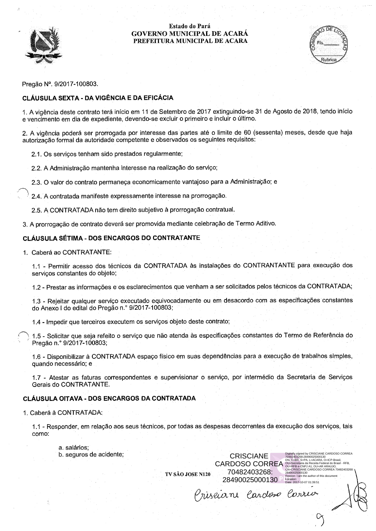



Pregão Nº. 9/2017-100803.

# **CLÁUSULA SEXTA - DA VIGÊNCIA E DA EFICÁCIA**

1. A vigência deste contrato terá início em 11 de Setembro de 2017 extinguindo-se 31 de Agosto de 2018, tendo início e vencimento em dia de expediente, devendo-se excluir o primeiro e incluir o último.

2. A vigência poderá ser prorrogada por interesse das partes até o limite de 60 (sessenta) meses, desde que haja autorização formal da autoridade competente e observados os seguintes requisitos:

2.1. Os servicos tenham sido prestados regularmente;

2.2. A Administração mantenha interesse na realização do serviço;

2.3. O valor do contrato permaneça economicamente vantajoso para a Administração; e

2.4. A contratada manifeste expressamente interesse na prorrogação.

2.5. A CONTRATADA não tem direito subjetivo à prorrogação contratual.

3. A prorrogação de contrato deverá ser promovida mediante celebração de Termo Aditivo.

# CLÁUSULA SÉTIMA - DOS ENCARGOS DO CONTRATANTE

1. Caberá ao CONTRATANTE:

1.1 - Permitir acesso dos técnicos da CONTRATADA às instalações do CONTRANTANTE para execução dos serviços constantes do objeto;

1.2 - Prestar as informações e os esclarecimentos que venham a ser solicitados pelos técnicos da CONTRATADA;

1.3 - Rejeitar qualquer serviço executado equivocadamente ou em desacordo com as especificações constantes do Anexo I do edital do Pregão n.º 9/2017-100803;

1.4 - Impedir que terceiros executem os serviços objeto deste contrato;

1.5 - Solicitar que seja refeito o serviço que não atenda às especificações constantes do Termo de Referência do Pregão n.º 9/2017-100803;

1.6 - Disponibilizar à CONTRATADA espaço físico em suas dependências para a execução de trabalhos simples, quando necessário; e

1.7 - Atestar as faturas correspondentes e supervisionar o serviço, por intermédio da Secretaria de Servicos Gerais do CONTRATANTE.

# CLÁUSULA OITAVA - DOS ENCARGOS DA CONTRATADA

#### 1. Caberá à CONTRATADA:

1.1 - Responder, em relação aos seus técnicos, por todas as despesas decorrentes da execução dos servicos, tais como:

TV SÃO JOSE N120

a. salários; b. seguros de acidente;

**CRISCIANE CARDOSO CORREA** 70482403268: 28490025000130

Priseiani Cardoso Corrio

ed by CRISCIANE CARDOSO CORREA l82403268:28490025000130<br>: C=BR, S=PA, L=ACARA, O=ICP-Brasil,<br>∽Secretaria da Receita Federal do Brasil - RFB. cauon.<br>.te: 2017-10-07 01:39:51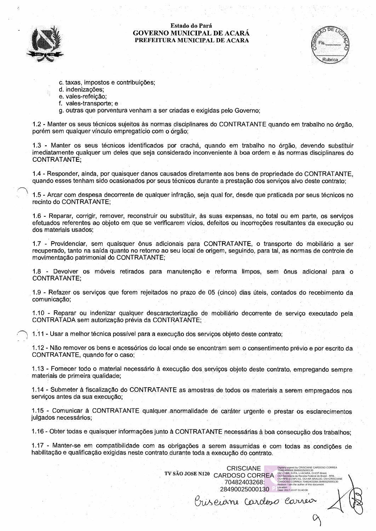



- c. taxas, impostos e contribuições;
- d. indenizações;
- e. vales-refeição;
- f. vales-transporte: e
- g. outras que porventura venham a ser criadas e exigidas pelo Governo;

1.2 - Manter os seus técnicos sujeitos às normas disciplinares do CONTRATANTE quando em trabalho no órgão. porém sem qualquer vínculo empregatício com o órgão.

1.3 - Manter os seus técnicos identificados por crachá, quando em trabalho no órgão, devendo substituir imediatamente qualquer um deles que seja considerado inconveniente à boa ordem e às normas disciplinares do CONTRATANTE:

1.4 - Responder, ainda, por quaisquer danos causados diretamente aos bens de propriedade do CONTRATANTE. quando esses tenham sido ocasionados por seus técnicos durante a prestação dos servicos alvo deste contrato:

1.5 - Arcar com despesa decorrente de qualquer infração, seja qual for, desde que praticada por seus técnicos no recinto do CONTRATANTE:

1.6 - Reparar, corrigir, remover, reconstruir ou substituir, às suas expensas, no total ou em parte, os servicos efetuados referentes ao objeto em que se verificarem vícios, defeitos ou incorreções resultantes da execução ou dos materiais usados:

1.7 - Providenciar, sem quaisquer ônus adicionais para CONTRATANTE, o transporte do mobiliário a ser recuperado, tanto na saída quanto no retorno ao seu local de origem, seguindo, para tal, as normas de controle de movimentação patrimonial do CONTRATANTE:

1.8 - Devolver os móveis retirados para manutenção e reforma limpos, sem ônus adicional para o **CONTRATANTE:** 

1.9 - Refazer os serviços que forem rejeitados no prazo de 05 (cinco) dias úteis, contados do recebimento da comunicação:

1.10 - Reparar ou indenizar qualquer descaracterização de mobiliário decorrente de serviço executado pela CONTRATADA sem autorização prévia da CONTRATANTE:

1.11 - Usar a melhor técnica possível para a execução dos serviços objeto deste contrato;

1.12 - Não remover os bens e acessórios do local onde se encontram sem o consentimento prévio e por escrito da CONTRATANTE, quando for o caso;

1.13 - Fornecer todo o material necessário à execução dos serviços objeto deste contrato, empregando sempre materiais de primeira qualidade:

1.14 - Submeter à fiscalização do CONTRATANTE as amostras de todos os materiais a serem empregados nos serviços antes da sua execução;

1.15 - Comunicar à CONTRATANTE qualquer anormalidade de caráter urgente e prestar os esclarecimentos julgados necessários;

1.16 - Obter todas e quaisquer informações junto à CONTRATANTE necessárias à boa consecução dos trabalhos;

1.17 - Manter-se em compatibilidade com as obrigações a serem assumidas e com todas as condições de habilitação e qualificação exigidas neste contrato durante toda a execução do contrato.

> **CRISCIANE** TV SÃO JOSE N120 CARDOSO CORREA 70482403268: 28490025000130

TON: C=BR, S=PA, L=ACARA, O=ICP-Bra<br>DN: C=BR, S=PA, L=ACARA, O=ICP-Bra<br>OU=Secretaria da Receita Federal do Bra<br>OU=RFB e-CNPJ A1. OU=AR ARAUJO.

uon:<br>· 2017-10-07 01:40:08

riserane Cardoso Correix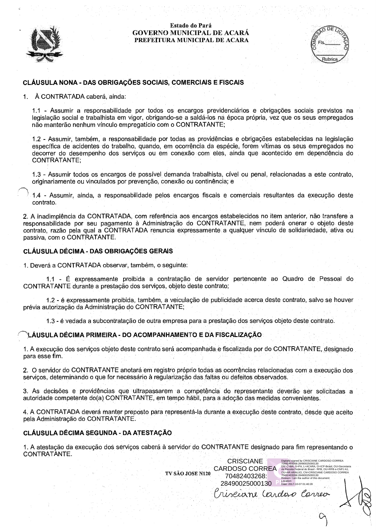



# CLÁUSULA NONA - DAS OBRIGAÇÕES SOCIAIS, COMERCIAIS E FISCAIS

À CONTRATADA caberá, ainda:  $\mathbf 1$ .

1.1 - Assumir a responsabilidade por todos os encargos previdenciários e obrigações sociais previstos na legislação social e trabalhista em vigor, obrigando-se a saldá-los na época própria, vez que os seus empregados não manterão nenhum vínculo empregatício com o CONTRATANTE;

1.2 - Assumir, também, a responsabilidade por todas as providências e obrigações estabelecidas na legislação específica de acidentes do trabalho, quando, em ocorrência da espécie, forem vítimas os seus empregados no decorrer do desempenho dos serviços ou em conexão com eles, ainda que acontecido em dependência do CONTRATANTE;

1.3 - Assumir todos os encargos de possível demanda trabalhista, cível ou penal, relacionadas a este contrato, originariamente ou vinculados por prevenção, conexão ou continência; e

1.4 - Assumir, ainda, a responsabilidade pelos encargos fiscais e comerciais resultantes da execução deste contrato.

2. A inadimplência da CONTRATADA, com referência aos encargos estabelecidos no item anterior, não transfere a responsabilidade por seu pagamento à Administração do CONTRATANTE, nem poderá onerar o objeto deste contrato, razão pela qual a CONTRATADA renuncia expressamente a qualquer vínculo de solidariedade, ativa ou passiva, com o CONTRATANTE.

#### CLÁUSULA DÉCIMA - DAS OBRIGAÇÕES GERAIS

1. Deverá a CONTRATADA observar, também, o seguinte:

1.1 - É expressamente proibida a contratação de servidor pertencente ao Quadro de Pessoal do CONTRATANTE durante a prestação dos serviços, objeto deste contrato;

1.2 - é expressamente proibida, também, a veiculação de publicidade acerca deste contrato, salvo se houver prévia autorização da Administração do CONTRATANTE;

1.3 - é vedada a subcontratação de outra empresa para a prestação dos serviços objeto deste contrato.

#### ∖LÁUSULA DÉCIMA PRIMEIRA - DO ACOMPANHAMENTO E DA FISCALIZACÃO

1. A execução dos serviços objeto deste contrato será acompanhada e fiscalizada por do CONTRATANTE, designado para esse fim.

2. O servidor do CONTRATANTE anotará em registro próprio todas as ocorrências relacionadas com a execução dos serviços, determinando o que for necessário à regularização das faltas ou defeitos observados.

3. As decisões e providências que ultrapassarem a competência do representante deverão ser solicitadas a autoridade competente do(a) CONTRATANTE, em tempo hábil, para a adoção das medidas convenientes.

4. A CONTRATADA deverá manter preposto para representá-la durante a execução deste contrato, desde que aceito pela Administração do CONTRATANTE.

#### CLÁUSULA DÉCIMA SEGUNDA - DA ATESTAÇÃO

1. A atestação da execução dos serviços caberá à servidor do CONTRATANTE designado para fim representando o CONTRATANTE.

TV SÃO JOSE N120

riseiane Cardoio Correo

l by UruoOu<br>28490025000130<br>PA, L=ACARA, O=ICP-Brasil, OU=Se<br>deral do Brasil - RFB, OU=RFB e-CNF<br>- CARDOSO COL

 $^{1000}_{10130}$ 

0N:<br>2017-10-07 01:40:28

**CRISCIANE** 

**CARDOSO CORREA** 

70482403268:

28490025000130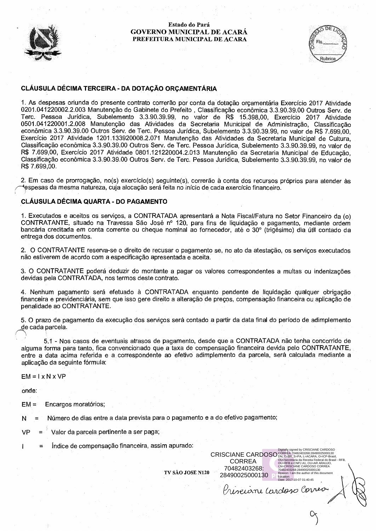



# CLÁUSULA DÉCIMA TERCEIRA - DA DOTACÃO ORCAMENTÁRIA

1. As despesas oriunda do presente contrato correrão por conta da dotação orgamentária Exercício 2017 Atividade 0201.041220002.2.003 Manutenção do Gabinete do Prefeito, Classificação econômica 3.3.90.39.00 Outros Serv. de Terc. Pessoa Jurídica, Subelemento 3.3.90.39.99, no valor de R\$ 15.398,00, Exercício 2017 Atividade<br>0501.041220001.2.008 Manutenção das Atividades da Secretaria Municipal de Administração, Classificação econômica 3.3.90.39.00 Outros Serv. de Terc. Pessoa Jurídica, Subelemento 3.3.90.39.99, no valor de R\$ 7.699.00. Exercício 2017 Atividade 1201.133920008.2.071 Manutenção das Atividades da Secretaria Municipal de Cultura. Classificação econômica 3.3.90.39.00 Outros Serv. de Terc. Pessoa Jurídica, Subelemento 3.3.90.39.99, no valor de R\$ 7.699.00, Exercício 2017 Atividade 0801.121220004.2.013 Manutenção da Secretaria Municipal de Educação, Classificação econômica 3.3.90.39.00 Outros Serv. de Terc. Pessoa Jurídica, Subelemento 3.3.90.39.99, no valor de R\$ 7.699,00.

2. Em caso de prorrogação, no(s) exercício(s) seguinte(s), correrão à conta dos recursos próprios para atender às espesas da mesma natureza, cuja alocação será feita no início de cada exercício financeiro.

# CLÁUSULA DÉCIMA QUARTA - DO PAGAMENTO

1. Executados e aceitos os servicos, a CONTRATADA apresentará a Nota Fiscal/Fatura no Setor Financeiro da (o) CONTRATANTE, situado na Travessa São José nº 120, para fins de liquidação e pagamento, mediante ordem bancária creditada em conta corrente ou cheque nominal ao fornecedor, até o 30° (trigésimo) dia útil contado da entrega dos documentos.

2. O CONTRATANTE reserva-se o direito de recusar o pagamento se, no ato da atestação, os serviços executados não estiverem de acordo com a especificação apresentada e aceita.

3. O CONTRATANTE poderá deduzir do montante a pagar os valores correspondentes a multas ou indenizações devidas pela CONTRATADA, nos termos deste contrato.

4. Nenhum pagamento será efetuado à CONTRATADA enguanto pendente de liguidação qualquer obrigação financeira e previdenciária, sem que isso gere direito a alteração de preços, compensação financeira ou aplicação de penalidade ao CONTRATANTE.

5. O prazo de pagamento da execução dos serviços será contado a partir da data final do período de adimplemento de cada parcela.

5.1 - Nos casos de eventuais atrasos de pagamento, desde que a CONTRATADA não tenha concorrido de alguma forma para tanto, fica convencionado que a taxa de compensação financeira devida pelo CONTRATANTE, entre a data acima referida e a correspondente ao efetivo adimplemento da parcela, será calculada mediante a aplicação da seguinte fórmula:

 $EM = I \times N \times VP$ 

onde:

 $EM =$ Encargos moratórios;

Número de dias entre a data prevista para o pagamento e a do efetivo pagamento;  $\overline{N}$ 

Valor da parcela pertinente a ser paga; VP

Índice de compensação financeira, assim apurado: Ξ

TV SÃO JOSE N120

**CRISCIANE CARDOSO** 

**CORREA** 

70482403268:

28490025000130

OU=Secretaria da Receita<br>OU=RFB e-CNPJ A1, OU=

Location:<br>Date: 2017-10-07 01:40:45

Prisevani Cardoso Corres

CIANE CARDOSO CORREA

03268:28490025000130

n: I am the author of this do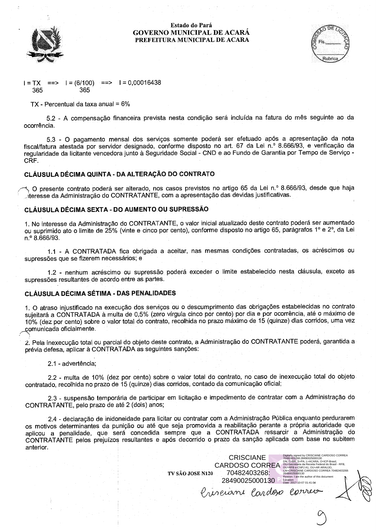



um.<br>2017-10-07 01:41:0¥

Ponrec

, , , , , , , , , , , , ,

 $I = (6/100)$  ==>  $I = 0,00016438$  $I = TX$  $\equiv$  $\equiv$  $>$ 365 365

 $TX$  - Percentual da taxa anual =  $6\%$ 

5.2 - A compensação financeira prevista nesta condição será incluída na fatura do mês seguinte ao da ocorrência.

5.3 - O pagamento mensal dos serviços somente poderá ser efetuado após a apresentação da nota fiscal/fatura atestada por servidor designado, conforme disposto no art. 67 da Lei n.º 8.666/93, e verificação da regularidade da licitante vencedora junto à Seguridade Social - CND e ao Fundo de Garantia por Tempo de Servico -CRF.

# CLÁUSULA DÉCIMA QUINTA - DA ALTERAÇÃO DO CONTRATO

O presente contrato poderá ser alterado, nos casos previstos no artigo 65 da Lei n.º 8.666/93, desde que haja teresse da Administração do CONTRATANTE, com a apresentação das devidas justificativas.

#### CLÁUSULA DÉCIMA SEXTA - DO AUMENTO OU SUPRESSÃO

1. No interesse da Administração do CONTRATANTE, o valor inicial atualizado deste contrato poderá ser aumentado ou suprimido ato o limite de 25% (vinte e cinco por cento), conforme disposto no artigo 65, parágrafos 1º e 2º, da Lei n.º 8.666/93.

1.1 - A CONTRATADA fica obrigada a aceitar, nas mesmas condições contratadas, os acréscimos ou supressões que se fizerem necessários; e

1.2 - nenhum acréscimo ou supressão poderá exceder o limite estabelecido nesta cláusula, exceto as supressões resultantes de acordo entre as partes.

#### CLÁUSULA DÉCIMA SÉTIMA - DAS PENALIDADES

1. O atraso injustificado na execução dos serviços ou o descumprimento das obrigações estabelecidas no contrato sujeitará a CONTRATADA à multa de 0,5% (zero vírgula cinco por cento) por dia e por ocorrência, até o máximo de 10% (dez por cento) sobre o valor total do contrato, recolhida no prazo máximo de 15 (quinze) dias corridos, uma vez comunicada oficialmente.

2. Pela inexecução total ou parcial do objeto deste contrato, a Administração do CONTRATANTE poderá, garantida a prévia defesa, aplicar à CONTRATADA as seguintes sanções:

2.1 - advertência;

2.2 - multa de 10% (dez por cento) sobre o valor total do contrato, no caso de inexecução total do objeto contratado, recolhida no prazo de 15 (quinze) dias corridos, contado da comunicação oficial;

2.3 - suspensão temporária de participar em licitação e impedimento de contratar com a Administração do CONTRATANTE, pelo prazo de até 2 (dois) anos;

2.4 - declaração de inidoneidade para licitar ou contratar com a Administração Pública enquanto perdurarem os motivos determinantes da punição ou até que seja promovida a reabilitação perante a própria autoridade que aplicou a penalidade, que será concedida sempre que a CONTRATADA ressarcir a Administração do CONTRATANTE pelos prejuízos resultantes e após decorrido o prazo da sanção aplicada com base no subitem anterior.

TV SÃO JOSE N120

**CRISCIANE CARDOSO CORREA** SH

70482403268:

28490025000130

Priserane Cardox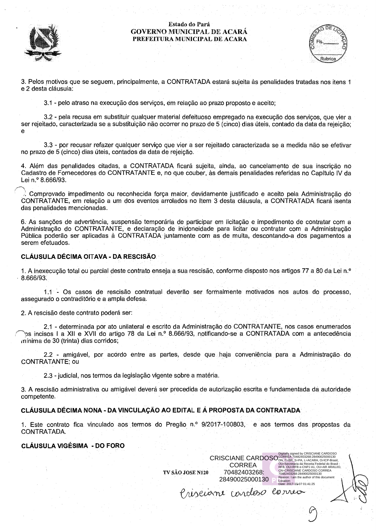



3. Pelos motivos que se seguem, principalmente, a CONTRATADA estará sujeita às penalidades tratadas nos itens 1 e 2 desta cláusula:

3.1 - pelo atraso na execução dos servicos, em relação ao prazo proposto e aceito:

3.2 - pela recusa em substituir qualquer material defeituoso empregado na execução dos servicos, que vier a ser rejeitado, caracterizada se a substituição não ocorrer no prazo de 5 (cinco) dias úteis, contado da data da rejeição: e

3.3 - por recusar refazer qualquer serviço que vier a ser rejeitado caracterizada se a medida não se efetivar no prazo de 5 (cinco) dias úteis, contados da data de rejeição.

4. Além das penalidades citadas, a CONTRATADA ficará sujeita, ainda, ao cancelamento de sua inscrição no Cadastro de Fornecedores do CONTRATANTE e, no que couber, às demais penalidades referidas no Capítulo IV da Lei n.º 8.666/93.

Comprovado impedimento ou reconhecida força maior, devidamente justificado e aceito pela Administração do CONTRATANTE, em relação a um dos eventos arrolados no Item 3 desta cláusula, a CONTRATADA ficará isenta das penalidades mencionadas.

6. As sancões de advertência, suspensão temporária de participar em licitação e impedimento de contratar com a Administração do CONTRATANTE, e declaração de inidoneidade para licitar ou contratar com a Administração Pública poderão ser aplicadas à CONTRATADA juntamente com as de multa, descontando-a dos pagamentos a serem efetuados.

# CLÁUSULA DÉCIMA OITAVA - DA RESCISÃO.

1. A inexecução total ou parcial deste contrato enseja a sua rescisão, conforme disposto nos artigos 77 a 80 da Lei n.º 8.666/93.

1.1 - Os casos de rescisão contratual deverão ser formalmente motivados nos autos do processo, assegurado o contraditório e a ampla defesa.

2. A rescisão deste contrato poderá ser:

2.1 - determinada por ato unilateral e escrito da Administração do CONTRATANTE, nos casos enumerados bs incisos I a XII e XVII do artigo 78 da Lei n.º 8.666/93, notificando-se a CONTRATADA com a antecedência mínima de 30 (trinta) dias corridos;

2.2 - amigável, por acordo entre as partes, desde que haja conveniência para a Administração do **CONTRATANTE; ou** 

2.3 - judicial, nos termos da legislação vigente sobre a matéria.

3. A rescisão administrativa ou amigável deverá ser precedida de autorização escrita e fundamentada da autoridade competente.

# CLÁUSULA DÉCIMA NONA - DA VINCULAÇÃO AO EDITAL E Á PROPOSTA DA CONTRATADA

1. Este contrato fica vinculado aos termos do Pregão n.º 9/2017-100803, e aos termos das propostas da CONTRATADA.

#### **CLÁUSULA VIGÉSIMA - DO FORO**

Digitally signed by CRISCIANE CARDOSO DIGITALLY SIGNALLY SURFAIRED AT A CARDOS CONTRACT ON A CHARGE AND CONDUCT AND RESPOND TO USE OF A CARD OF THE DIGITAL OF THE DIGITAL OF THE DIGITAL OF THE DIGITAL OF THE DIGITAL OF THE TV SÃO JOSE N120 70482403268: 28490025000130

Prisciane cardoso correio

B, OO HIT BIC ONTO AT, OO<br>-CRISCIANE CARDOSO C<br>182403268:28490025000130

cauon:<br>.te: 2017-10-07 01:41:25